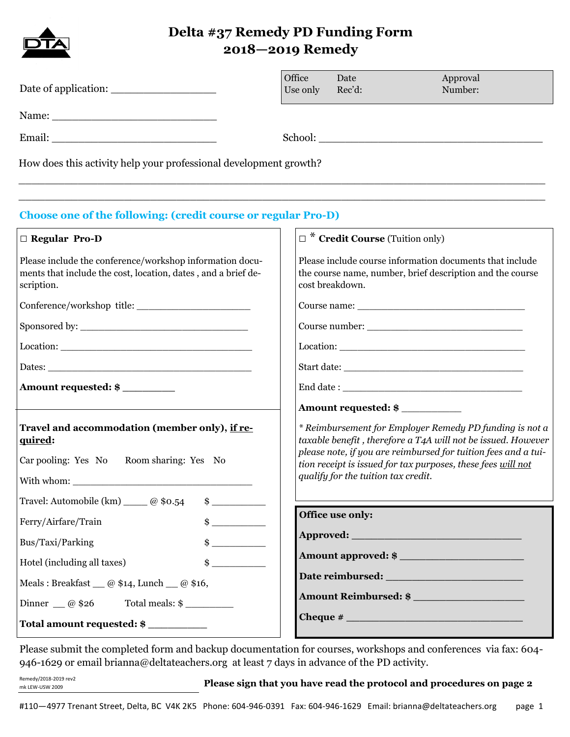

# **Delta #37 Remedy PD Funding Form 2018—2019 Remedy**

|                                                                                                                                                                                                                                                                                                                                                                                                                                                                                                                                                                      | Office | Use only                                                                                                                                 | Date<br>Rec'd:                      | Approval<br>Number:                                                                                                                                                                                                                                       |
|----------------------------------------------------------------------------------------------------------------------------------------------------------------------------------------------------------------------------------------------------------------------------------------------------------------------------------------------------------------------------------------------------------------------------------------------------------------------------------------------------------------------------------------------------------------------|--------|------------------------------------------------------------------------------------------------------------------------------------------|-------------------------------------|-----------------------------------------------------------------------------------------------------------------------------------------------------------------------------------------------------------------------------------------------------------|
|                                                                                                                                                                                                                                                                                                                                                                                                                                                                                                                                                                      |        |                                                                                                                                          |                                     |                                                                                                                                                                                                                                                           |
|                                                                                                                                                                                                                                                                                                                                                                                                                                                                                                                                                                      |        |                                                                                                                                          |                                     |                                                                                                                                                                                                                                                           |
| How does this activity help your professional development growth?                                                                                                                                                                                                                                                                                                                                                                                                                                                                                                    |        |                                                                                                                                          |                                     |                                                                                                                                                                                                                                                           |
| <b>Choose one of the following: (credit course or regular Pro-D)</b>                                                                                                                                                                                                                                                                                                                                                                                                                                                                                                 |        |                                                                                                                                          |                                     |                                                                                                                                                                                                                                                           |
| □ Regular Pro-D                                                                                                                                                                                                                                                                                                                                                                                                                                                                                                                                                      |        | $\Box^*$ Credit Course (Tuition only)                                                                                                    |                                     |                                                                                                                                                                                                                                                           |
| Please include the conference/workshop information docu-<br>ments that include the cost, location, dates, and a brief de-<br>scription.                                                                                                                                                                                                                                                                                                                                                                                                                              |        | Please include course information documents that include<br>the course name, number, brief description and the course<br>cost breakdown. |                                     |                                                                                                                                                                                                                                                           |
|                                                                                                                                                                                                                                                                                                                                                                                                                                                                                                                                                                      |        |                                                                                                                                          |                                     |                                                                                                                                                                                                                                                           |
|                                                                                                                                                                                                                                                                                                                                                                                                                                                                                                                                                                      |        |                                                                                                                                          |                                     |                                                                                                                                                                                                                                                           |
| $\text{Location:}\n \underline{\hspace{2cm}}\n \underline{\hspace{2cm}}\n \underline{\hspace{2cm}}\n \underline{\hspace{2cm}}\n \underline{\hspace{2cm}}\n \underline{\hspace{2cm}}\n \underline{\hspace{2cm}}\n \underline{\hspace{2cm}}\n \underline{\hspace{2cm}}\n \underline{\hspace{2cm}}\n \underline{\hspace{2cm}}\n \underline{\hspace{2cm}}\n \underline{\hspace{2cm}}\n \underline{\hspace{2cm}}\n \underline{\hspace{2cm}}\n \underline{\hspace{2cm}}\n \underline{\hspace{2cm}}\n \underline{\hspace{2cm}}\n \underline{\hspace{2cm}}\n \underline{\hs$ |        |                                                                                                                                          |                                     |                                                                                                                                                                                                                                                           |
|                                                                                                                                                                                                                                                                                                                                                                                                                                                                                                                                                                      |        |                                                                                                                                          |                                     |                                                                                                                                                                                                                                                           |
| Amount requested: \$                                                                                                                                                                                                                                                                                                                                                                                                                                                                                                                                                 |        |                                                                                                                                          |                                     |                                                                                                                                                                                                                                                           |
|                                                                                                                                                                                                                                                                                                                                                                                                                                                                                                                                                                      |        |                                                                                                                                          |                                     | Amount requested: \$                                                                                                                                                                                                                                      |
| Travel and accommodation (member only), if re-<br>quired:<br>Car pooling: Yes No<br>Room sharing: Yes No<br>Travel: Automobile (km) ____ @ \$0.54<br>$\sim$                                                                                                                                                                                                                                                                                                                                                                                                          |        |                                                                                                                                          | qualify for the tuition tax credit. | * Reimbursement for Employer Remedy PD funding is not a<br>taxable benefit, therefore a T4A will not be issued. However<br>please note, if you are reimbursed for tuition fees and a tui-<br>tion receipt is issued for tax purposes, these fees will not |
| Ferry/Airfare/Train<br>$\frac{1}{2}$                                                                                                                                                                                                                                                                                                                                                                                                                                                                                                                                 |        |                                                                                                                                          | Office use only:                    |                                                                                                                                                                                                                                                           |
| Bus/Taxi/Parking<br>$\frac{1}{2}$                                                                                                                                                                                                                                                                                                                                                                                                                                                                                                                                    |        |                                                                                                                                          |                                     |                                                                                                                                                                                                                                                           |
| $\frac{1}{2}$<br>Hotel (including all taxes)                                                                                                                                                                                                                                                                                                                                                                                                                                                                                                                         |        |                                                                                                                                          |                                     | Amount approved: \$                                                                                                                                                                                                                                       |
| Meals: Breakfast $\qquad \varnothing$ \$14, Lunch $\qquad \varnothing$ \$16,                                                                                                                                                                                                                                                                                                                                                                                                                                                                                         |        |                                                                                                                                          |                                     |                                                                                                                                                                                                                                                           |
| Dinner $\_\_$ @ \$26                                                                                                                                                                                                                                                                                                                                                                                                                                                                                                                                                 |        |                                                                                                                                          |                                     | Amount Reimbursed: \$                                                                                                                                                                                                                                     |
| Total amount requested: \$                                                                                                                                                                                                                                                                                                                                                                                                                                                                                                                                           |        |                                                                                                                                          |                                     |                                                                                                                                                                                                                                                           |

Please submit the completed form and backup documentation for courses, workshops and conferences via fax: 604- 946-1629 or email brianna@deltateachers.org at least 7 days in advance of the PD activity.

**Please sign that you have read the protocol and procedures on page 2**